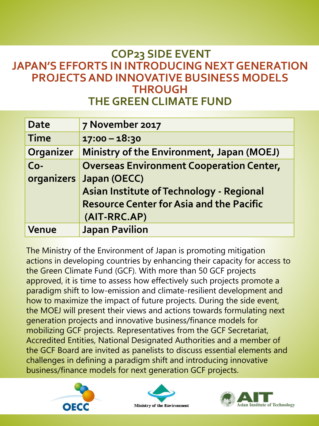# **COP23 SIDE EVENT JAPAN'S EFFORTS IN INTRODUCING NEXT GENERATION PROJECTS AND INNOVATIVE BUSINESS MODELS THROUGH THE GREEN CLIMATE FUND**

| <b>Date</b> | 7 November 2017                                 |
|-------------|-------------------------------------------------|
| <b>Time</b> | $17:00 - 18:30$                                 |
| Organizer   | Ministry of the Environment, Japan (MOEJ)       |
| $Co-$       | <b>Overseas Environment Cooperation Center,</b> |
| organizers  | Japan (OECC)                                    |
|             | Asian Institute of Technology - Regional        |
|             | <b>Resource Center for Asia and the Pacific</b> |
|             | (AIT-RRC.AP)                                    |
| Venue       | <b>Japan Pavilion</b>                           |

The Ministry of the Environment of Japan is promoting mitigation actions in developing countries by enhancing their capacity for access to the Green Climate Fund (GCF). With more than 50 GCF projects approved, it is time to assess how effectively such projects promote a paradigm shift to low-emission and climate-resilient development and how to maximize the impact of future projects. During the side event, the MOEJ will present their views and actions towards formulating next generation projects and innovative business/finance models for mobilizing GCF projects. Representatives from the GCF Secretariat, Accredited Entities, National Designated Authorities and a member of the GCF Board are invited as panelists to discuss essential elements and challenges in defining a paradigm shift and introducing innovative business/finance models for next generation GCF projects.